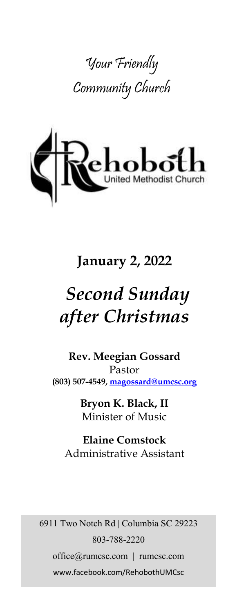



## **January 2, 2022**

# *Second Sunday after Christmas*

**Rev. Meegian Gossard** Pastor **(803) 507-4549, magossard@umcsc.org**

> **Bryon K. Black, II** Minister of Music

**Elaine Comstock** Administrative Assistant

6911 Two Notch Rd | Columbia SC 29223 803-788-2220 office@rumcsc.com | rumcsc.com www.facebook.com/RehobothUMCsc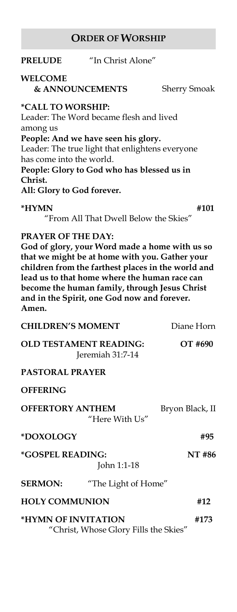#### **ORDER OF WORSHIP**

#### **PRELUDE** "In Christ Alone"

#### **WELCOME**

 **& ANNOUNCEMENTS** Sherry Smoak

#### **\*CALL TO WORSHIP:**

Leader: The Word became flesh and lived among us **People: And we have seen his glory.** Leader: The true light that enlightens everyone has come into the world. **People: Glory to God who has blessed us in** 

**Christ.**

**All: Glory to God forever.**

#### **\*HYMN #101**

"From All That Dwell Below the Skies"

#### **PRAYER OF THE DAY:**

**God of glory, your Word made a home with us so that we might be at home with you. Gather your children from the farthest places in the world and lead us to that home where the human race can become the human family, through Jesus Christ and in the Spirit, one God now and forever. Amen.**

| <b>CHILDREN'S MOMENT</b>                                     |                     | Diane Horn      |
|--------------------------------------------------------------|---------------------|-----------------|
| <b>OLD TESTAMENT READING:</b><br>Jeremiah 31:7-14            |                     | OT #690         |
| PASTORAL PRAYER                                              |                     |                 |
| <b>OFFERING</b>                                              |                     |                 |
| <b>OFFERTORY ANTHEM</b>                                      | "Here With Us" $\,$ | Bryon Black, II |
| *DOXOLOGY                                                    |                     | #95             |
| <i><b>*GOSPEL READING:</b></i>                               | John 1:1-18         | NT #86          |
| <b>SERMON:</b>                                               | "The Light of Home" |                 |
| <b>HOLY COMMUNION</b>                                        |                     | #12             |
| *HYMN OF INVITATION<br>"Christ, Whose Glory Fills the Skies" |                     | #173            |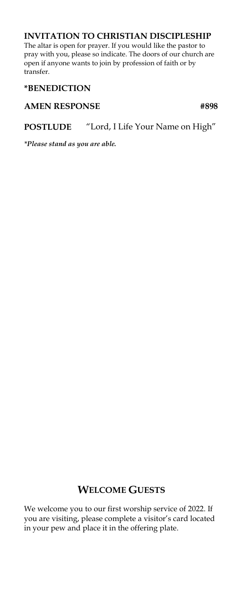#### **INVITATION TO CHRISTIAN DISCIPLESHIP**

The altar is open for prayer. If you would like the pastor to pray with you, please so indicate. The doors of our church are open if anyone wants to join by profession of faith or by transfer.

#### **\*BENEDICTION**

#### AMEN RESPONSE #898

#### **POSTLUDE** "Lord, I Life Your Name on High"

*\*Please stand as you are able.*

#### **WELCOME GUESTS**

We welcome you to our first worship service of 2022. If you are visiting, please complete a visitor's card located in your pew and place it in the offering plate.